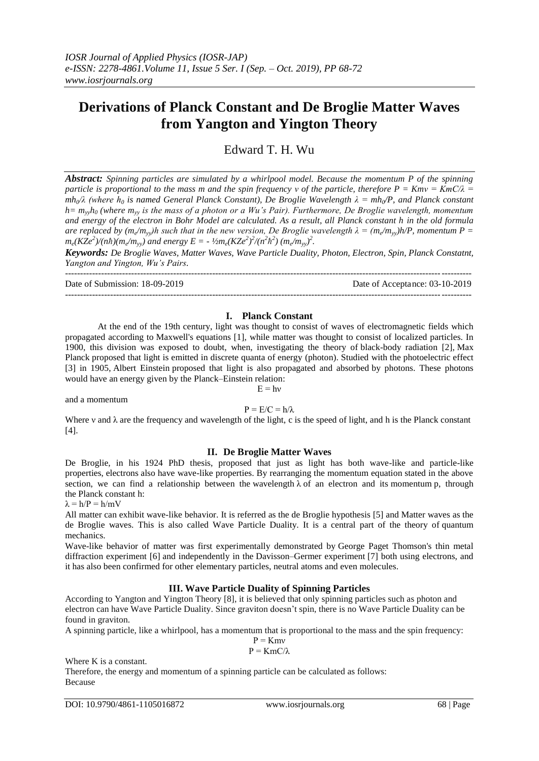# **Derivations of Planck Constant and De Broglie Matter Waves from Yangton and Yington Theory**

Edward T. H. Wu

*Abstract: Spinning particles are simulated by a whirlpool model. Because the momentum P of the spinning particle is proportional to the mass m and the spin frequency ν of the particle, therefore P = Kmν = KmC/λ = mh0/λ (where h<sup>0</sup> is named General Planck Constant), De Broglie Wavelength λ = mh0/P, and Planck constant h= myyh<sup>0</sup> (where myy is the mass of a photon or a Wu's Pair). Furthermore, De Broglie wavelength, momentum and energy of the electron in Bohr Model are calculated. As a result, all Planck constant h in the old formula are replaced by*  $(m_e/m_{yy})h$  *such that in the new version, De Broglie wavelength*  $\lambda = (m_e/m_{yy})h/P$ *, momentum P =*  $\lambda$  $m_e$ (KZe<sup>2</sup>)/(nh)(m<sub>e</sub>/m<sub>yy</sub>) and energy E = -  $1/2m_e$ (KZe<sup>2</sup>)<sup>2</sup>/(n<sup>2</sup>h<sup>2</sup>) (m<sub>e</sub>/m<sub>yy</sub>)<sup>2</sup>.

*Keywords: De Broglie Waves, Matter Waves, Wave Particle Duality, Photon, Electron, Spin, Planck Constatnt, Yangton and Yington, Wu's Pairs.*

--------------------------------------------------------------------------------------------------------------------------------------- Date of Submission: 18-09-2019 Date of Acceptance: 03-10-2019 ---------------------------------------------------------------------------------------------------------------------------------------

## **I. Planck Constant**

At the end of the 19th century, light was thought to consist of waves of electromagnetic fields which propagated according to [Maxwell's equations](https://en.wikipedia.org/wiki/Maxwell%27s_equations) [1], while matter was thought to consist of localized particles. In 1900, this division was exposed to doubt, when, investigating the theory of [black-body radiation](https://en.wikipedia.org/wiki/Black-body_radiation) [2], [Max](https://en.wikipedia.org/wiki/Max_Planck)  [Planck](https://en.wikipedia.org/wiki/Max_Planck) proposed that light is emitted in discrete quanta of energy (photon). Studied with the [photoelectric effect](https://en.wikipedia.org/wiki/Photoelectric_effect) [3] in 1905, [Albert Einstein](https://en.wikipedia.org/wiki/Albert_Einstein) proposed that light is also propagated and absorbed by [photons.](https://en.wikipedia.org/wiki/Photon) These photons would have an energy given by the [Planck–Einstein relation:](https://en.wikipedia.org/wiki/Planck%E2%80%93Einstein_relation)

and a momentum

## $P = E/C = h/\lambda$

 $E = hv$ 

Where v and  $\lambda$  are the frequency and wavelength of the light, c is the speed of light, and h is the [Planck constant](https://en.wikipedia.org/wiki/Planck_constant)  $[4]$ .

#### **II. De Broglie Matter Waves**

De Broglie, in his 1924 PhD thesis, proposed that just as light has both wave-like and particle-like properties, [electrons](https://en.wikipedia.org/wiki/Electron) also have wave-like properties. By rearranging the momentum equation stated in the above section, we can find a relationship between the [wavelength](https://en.wikipedia.org/wiki/Wavelength)  $\lambda$  of an electron and its [momentum](https://en.wikipedia.org/wiki/Momentum) p, through the [Planck constant](https://en.wikipedia.org/wiki/Planck_constant) h:

 $\lambda = h/P = h/mV$ 

All [matter](https://en.wikipedia.org/wiki/Matter) can exhibit [wave-](https://en.wikipedia.org/wiki/Wave)like behavior. It is referred as the de Broglie hypothesis [5] and Matter waves as the de Broglie waves. This is also called Wave Particle Duality. It is a central part of the theory of [quantum](https://en.wikipedia.org/wiki/Quantum_mechanics)  [mechanics.](https://en.wikipedia.org/wiki/Quantum_mechanics)

Wave-like behavior of matter was first experimentally demonstrated by [George Paget Thomson's](https://en.wikipedia.org/wiki/George_Paget_Thomson) thin metal diffraction experiment [6] and independently in the [Davisson–Germer experiment](https://en.wikipedia.org/wiki/Davisson%E2%80%93Germer_experiment) [7] both using electrons, and it has also been confirmed for othe[r elementary particles,](https://en.wikipedia.org/wiki/Elementary_particle) neutral [atoms](https://en.wikipedia.org/wiki/Atom) and even [molecules.](https://en.wikipedia.org/wiki/Molecule)

## **III. Wave Particle Duality of Spinning Particles**

According to Yangton and Yington Theory [8], it is believed that only spinning particles such as photon and electron can have Wave Particle Duality. Since graviton doesn't spin, there is no Wave Particle Duality can be found in graviton.

A spinning particle, like a whirlpool, has a momentum that is proportional to the mass and the spin frequency:

$$
P = KmV
$$

$$
P = KmC/\lambda
$$

Where K is a constant.

Therefore, the energy and momentum of a spinning particle can be calculated as follows: Because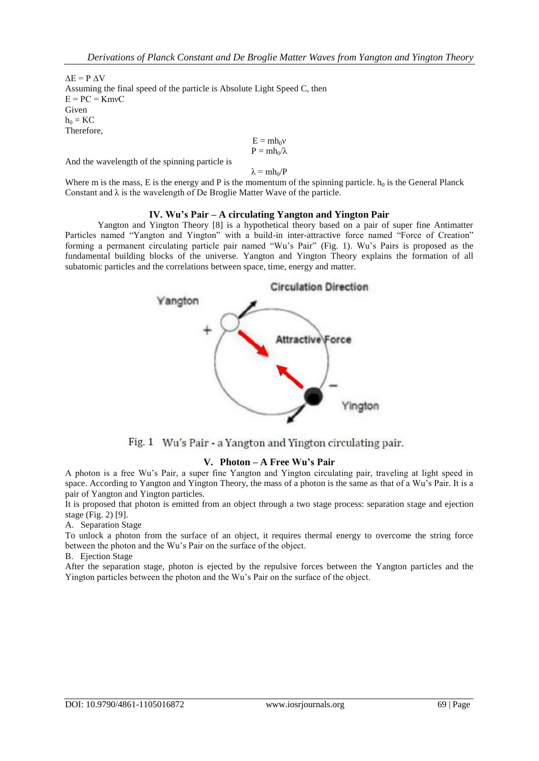$\Delta E = P \Delta V$ Assuming the final speed of the particle is Absolute Light Speed C, then  $E = PC = KmvC$ Given  $h_0 = KC$ Therefore,

$$
\begin{array}{l} E = m h_0 v \\ P = m h_0 / \lambda \end{array}
$$

And the wavelength of the spinning particle is

 $\lambda = m h_0/P$ 

Where m is the mass, E is the energy and P is the momentum of the spinning particle.  $h_0$  is the General Planck Constant and  $\lambda$  is the wavelength of De Broglie Matter Wave of the particle.

## **IV. Wu's Pair – A circulating Yangton and Yington Pair**

Yangton and Yington Theory [8] is a hypothetical theory based on a pair of super fine Antimatter Particles named "Yangton and Yington" with a build-in inter-attractive force named "Force of Creation" forming a permanent circulating particle pair named "Wu's Pair" (Fig. 1). Wu's Pairs is proposed as the fundamental building blocks of the universe. Yangton and Yington Theory explains the formation of all subatomic particles and the correlations between space, time, energy and matter.



Fig. 1 Wu's Pair - a Yangton and Yington circulating pair.

## **V. Photon – A Free Wu's Pair**

A photon is a free Wu's Pair, a super fine Yangton and Yington circulating pair, traveling at light speed in space. According to Yangton and Yington Theory, the mass of a photon is the same as that of a Wu's Pair. It is a pair of Yangton and Yington particles.

It is proposed that photon is emitted from an object through a two stage process: separation stage and ejection stage (Fig. 2) [9].

A. Separation Stage

To unlock a photon from the surface of an object, it requires thermal energy to overcome the string force between the photon and the Wu's Pair on the surface of the object.

B. Ejection Stage

After the separation stage, photon is ejected by the repulsive forces between the Yangton particles and the Yington particles between the photon and the Wu's Pair on the surface of the object.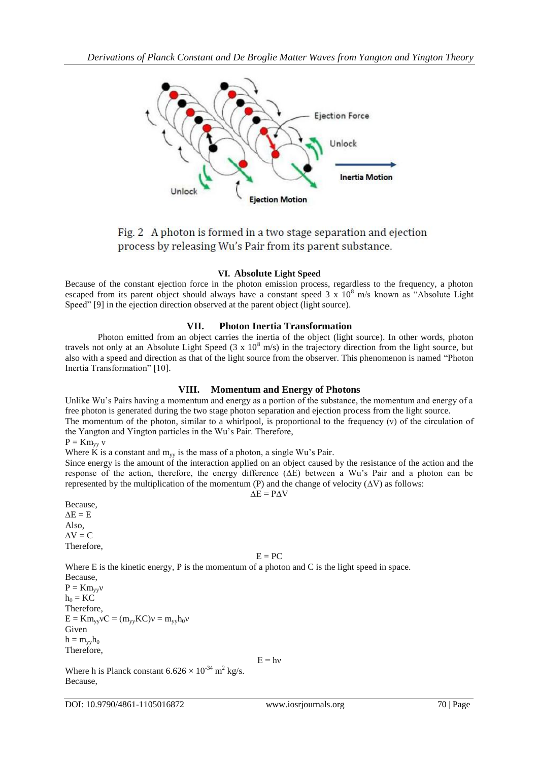

Fig. 2 A photon is formed in a two stage separation and ejection process by releasing Wu's Pair from its parent substance.

#### **VI. Absolute Light Speed**

Because of the constant ejection force in the photon emission process, regardless to the frequency, a photon escaped from its parent object should always have a constant speed  $3 \times 10^8$  m/s known as "Absolute Light" Speed" [9] in the ejection direction observed at the parent object (light source).

#### **VII. Photon Inertia Transformation**

Photon emitted from an object carries the inertia of the object (light source). In other words, photon travels not only at an Absolute Light Speed  $(3 \times 10^8 \text{ m/s})$  in the trajectory direction from the light source, but also with a speed and direction as that of the light source from the observer. This phenomenon is named "Photon Inertia Transformation" [10].

## **VIII. Momentum and Energy of Photons**

Unlike Wu's Pairs having a momentum and energy as a portion of the substance, the momentum and energy of a free photon is generated during the two stage photon separation and ejection process from the light source.

The momentum of the photon, similar to a whirlpool, is proportional to the frequency (ν) of the circulation of the Yangton and Yington particles in the Wu's Pair. Therefore,

$$
P = Km_{yy} v
$$

Where K is a constant and  $m_{yy}$  is the mass of a photon, a single Wu's Pair.

Since energy is the amount of the interaction applied on an object caused by the resistance of the action and the response of the action, therefore, the energy difference (∆E) between a Wu's Pair and a photon can be represented by the multiplication of the momentum (P) and the change of velocity ( $\Delta V$ ) as follows:  $\Delta E = P \Delta V$ 

Because,

 $\Delta E = E$ Also,  $\Delta V = C$ Therefore,

#### $E = PC$

Where E is the kinetic energy, P is the momentum of a photon and C is the light speed in space.

Because,  $P = Km_{vv}v$  $h_0 = KC$ Therefore,  $E = Km_{yy}VC = (m_{yy}KC)v = m_{yy}h_0v$ Given  $h = m_{vv}h_0$ Therefore,

 $E = hv$ 

Where h is Planck constant  $6.626 \times 10^{-34}$  m<sup>2</sup> kg/s. Because,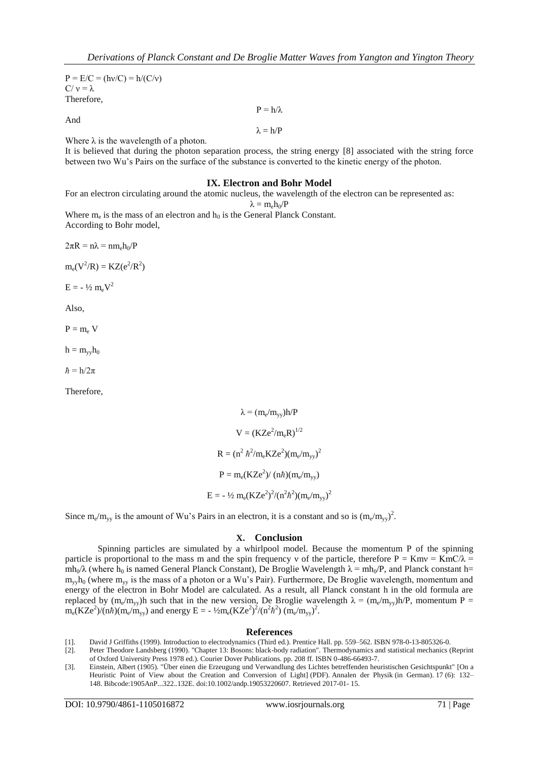$P = E/C = (hv/C) = h/(C/v)$  $C/v = \lambda$ Therefore,

And

 $P = h/\lambda$  $\lambda = h/P$ 

Where  $\lambda$  is the wavelength of a photon.

It is believed that during the photon separation process, the string energy [8] associated with the string force between two Wu's Pairs on the surface of the substance is converted to the kinetic energy of the photon.

### **IX. Electron and Bohr Model**

For an electron circulating around the atomic nucleus, the wavelength of the electron can be represented as:

$$
\lambda = m_e h_0/P\,
$$

Where  $m_e$  is the mass of an electron and  $h_0$  is the General Planck Constant. According to Bohr model,

 $2\pi R = n\lambda = nm_e h_0/P$ 

 $m_e(V^2/R) = KZ(e^2/R^2)$ 

 $E = -\frac{1}{2} m_e V^2$ 

Also,

 $P = m_e V$ 

 $h = m_{yy}h_0$ 

 $\hbar = h/2\pi$ 

Therefore,

 $\lambda = (m_e/m_{yy})h/P$  $V = (KZe^2/m_eR)^{1/2}$  $R = (n^2 \hbar^2/m_e KZe^2)(m_e/m_{yy})^2$  $P = m_e(KZe^2)/(n\hbar)(m_e/m_{yy})$ E =  $-$  1/2 m<sub>e</sub>(KZe<sup>2</sup>)<sup>2</sup>/(n<sup>2</sup> $\hbar$ <sup>2</sup>)(m<sub>e</sub>/m<sub>yy</sub>)<sup>2</sup>

Since m<sub>e</sub>/m<sub>yy</sub> is the amount of Wu's Pairs in an electron, it is a constant and so is  $(m_e/m_{yy})^2$ .

#### **X. Conclusion**

Spinning particles are simulated by a whirlpool model. Because the momentum P of the spinning particle is proportional to the mass m and the spin frequency v of the particle, therefore  $P = Kmv = KmC/\lambda$  $mh_0/λ$  (where  $h_0$  is named General Planck Constant), De Broglie Wavelength  $λ = mh_0/P$ , and Planck constant h=  $m_{\rm vv}$ h<sub>0</sub> (where  $m_{\rm vv}$  is the mass of a photon or a Wu's Pair). Furthermore, De Broglie wavelength, momentum and energy of the electron in Bohr Model are calculated. As a result, all Planck constant h in the old formula are replaced by  $(m_e/m_{yy})$ h such that in the new version, De Broglie wavelength  $\lambda = (m_e/m_{yy})h/P$ , momentum P =  $m_e$ (KZe<sup>2</sup>)/(n*h*)( $m_e/m_{yy}$ ) and energy E = - ½ $m_e$ (KZe<sup>2</sup>)<sup>2</sup>/(n<sup>2</sup>*h*<sup>2</sup>) ( $m_e/m_{yy}$ )<sup>2</sup>.

#### **References**

[1]. David J Griffiths (1999). [Introduction to electrodynamics](https://archive.org/details/introductiontoel00grif_0/page/559) (Third ed.). Prentice Hall. pp. [559–562.](https://archive.org/details/introductiontoel00grif_0/page/559) [ISBN](https://en.wikipedia.org/wiki/International_Standard_Book_Number) [978-0-13-805326-0.](https://en.wikipedia.org/wiki/Special:BookSources/978-0-13-805326-0)

<sup>[2].</sup> Peter Theodore Landsberg (1990). "Chapter 13: Bosons: black-body radiation". Thermodynamics and statistical mechanics (Reprint of Oxford University Press 1978 ed.). Courier Dover Publications. pp. 208 ff. ISBN 0-486-66493-7.

<sup>[3].</sup> [Einstein, Albert](https://en.wikipedia.org/wiki/Albert_Einstein) (1905). ["Über einen die Erzeugung und Verwandlung des Lichtes betreffenden heuristischen Gesichtspunkt"](http://www.zbp.univie.ac.at/dokumente/einstein1.pdf) [On a Heuristic Point of View about the Creation and Conversion of Light] (PDF). Annalen der Physik (in German). 17 (6): 132– 148. [Bibcode:](https://en.wikipedia.org/wiki/Bibcode)[1905AnP...322..132E.](https://ui.adsabs.harvard.edu/abs/1905AnP...322..132E) [doi](https://en.wikipedia.org/wiki/Digital_object_identifier)[:10.1002/andp.19053220607.](https://doi.org/10.1002%2Fandp.19053220607) Retrieved 2017-01- 15.